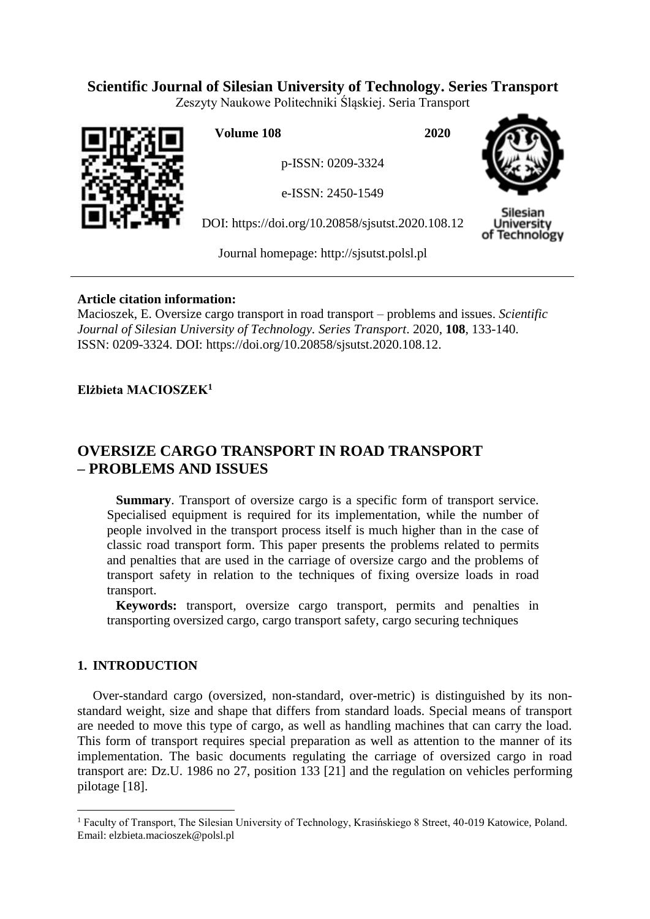## **Scientific Journal of Silesian University of Technology. Series Transport**

Zeszyty Naukowe Politechniki Śląskiej. Seria Transport



**Volume 108 2020**

p-ISSN: 0209-3324

e-ISSN: 2450-1549

DOI: https://doi.org/10.20858/sjsutst.2020.108.12



Silesiai Jniversity of Technology

Journal homepage: [http://sjsutst.polsl.pl](http://sjsutst.polsl.pl/)

### **Article citation information:**

Macioszek, E. Oversize cargo transport in road transport – problems and issues. *Scientific Journal of Silesian University of Technology. Series Transport*. 2020, **108**, 133-140. ISSN: 0209-3324. DOI: https://doi.org/10.20858/sjsutst.2020.108.12.

## **Elżbieta MACIOSZEK<sup>1</sup>**

# **OVERSIZE CARGO TRANSPORT IN ROAD TRANSPORT – PROBLEMS AND ISSUES**

**Summary**. Transport of oversize cargo is a specific form of transport service. Specialised equipment is required for its implementation, while the number of people involved in the transport process itself is much higher than in the case of classic road transport form. This paper presents the problems related to permits and penalties that are used in the carriage of oversize cargo and the problems of transport safety in relation to the techniques of fixing oversize loads in road transport.

**Keywords:** transport, oversize cargo transport, permits and penalties in transporting oversized cargo, cargo transport safety, cargo securing techniques

## **1. INTRODUCTION**

 $\overline{a}$ 

Over-standard cargo (oversized, non-standard, over-metric) is distinguished by its nonstandard weight, size and shape that differs from standard loads. Special means of transport are needed to move this type of cargo, as well as handling machines that can carry the load. This form of transport requires special preparation as well as attention to the manner of its implementation. The basic documents regulating the carriage of oversized cargo in road transport are: Dz.U. 1986 no 27, position 133 [21] and the regulation on vehicles performing pilotage [18].

<sup>&</sup>lt;sup>1</sup> Faculty of Transport, The Silesian University of Technology, Krasińskiego 8 Street, 40-019 Katowice, Poland. Email: elzbieta.macioszek@polsl.pl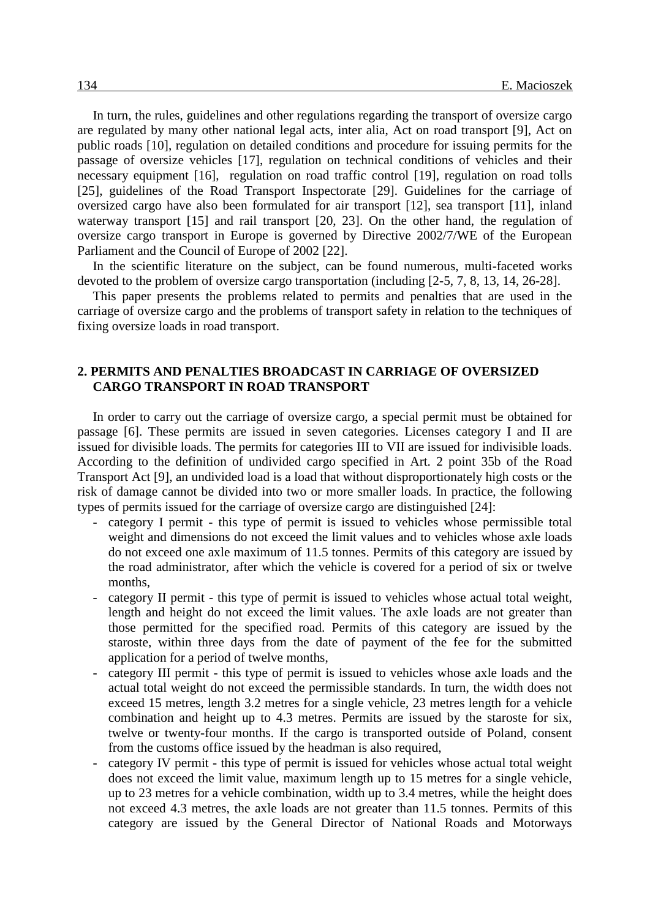In turn, the rules, guidelines and other regulations regarding the transport of oversize cargo are regulated by many other national legal acts, inter alia, Act on road transport [9], Act on public roads [10], regulation on detailed conditions and procedure for issuing permits for the passage of oversize vehicles [17], regulation on technical conditions of vehicles and their necessary equipment [16], regulation on road traffic control [19], regulation on road tolls [25], guidelines of the Road Transport Inspectorate [29]. Guidelines for the carriage of oversized cargo have also been formulated for air transport [12], sea transport [11], inland waterway transport [15] and rail transport [20, 23]. On the other hand, the regulation of oversize cargo transport in Europe is governed by Directive 2002/7/WE of the European Parliament and the Council of Europe of 2002 [22].

In the scientific literature on the subject, can be found numerous, multi-faceted works devoted to the problem of oversize cargo transportation (including [2-5, 7, 8, 13, 14, 26-28].

This paper presents the problems related to permits and penalties that are used in the carriage of oversize cargo and the problems of transport safety in relation to the techniques of fixing oversize loads in road transport.

#### **2. PERMITS AND PENALTIES BROADCAST IN CARRIAGE OF OVERSIZED CARGO TRANSPORT IN ROAD TRANSPORT**

In order to carry out the carriage of oversize cargo, a special permit must be obtained for passage [6]. These permits are issued in seven categories. Licenses category I and II are issued for divisible loads. The permits for categories III to VII are issued for indivisible loads. According to the definition of undivided cargo specified in Art. 2 point 35b of the Road Transport Act [9], an undivided load is a load that without disproportionately high costs or the risk of damage cannot be divided into two or more smaller loads. In practice, the following types of permits issued for the carriage of oversize cargo are distinguished [24]:

- category I permit this type of permit is issued to vehicles whose permissible total weight and dimensions do not exceed the limit values and to vehicles whose axle loads do not exceed one axle maximum of 11.5 tonnes. Permits of this category are issued by the road administrator, after which the vehicle is covered for a period of six or twelve months,
- category II permit this type of permit is issued to vehicles whose actual total weight, length and height do not exceed the limit values. The axle loads are not greater than those permitted for the specified road. Permits of this category are issued by the staroste, within three days from the date of payment of the fee for the submitted application for a period of twelve months,
- category III permit this type of permit is issued to vehicles whose axle loads and the actual total weight do not exceed the permissible standards. In turn, the width does not exceed 15 metres, length 3.2 metres for a single vehicle, 23 metres length for a vehicle combination and height up to 4.3 metres. Permits are issued by the staroste for six, twelve or twenty-four months. If the cargo is transported outside of Poland, consent from the customs office issued by the headman is also required,
- category IV permit this type of permit is issued for vehicles whose actual total weight does not exceed the limit value, maximum length up to 15 metres for a single vehicle, up to 23 metres for a vehicle combination, width up to 3.4 metres, while the height does not exceed 4.3 metres, the axle loads are not greater than 11.5 tonnes. Permits of this category are issued by the General Director of National Roads and Motorways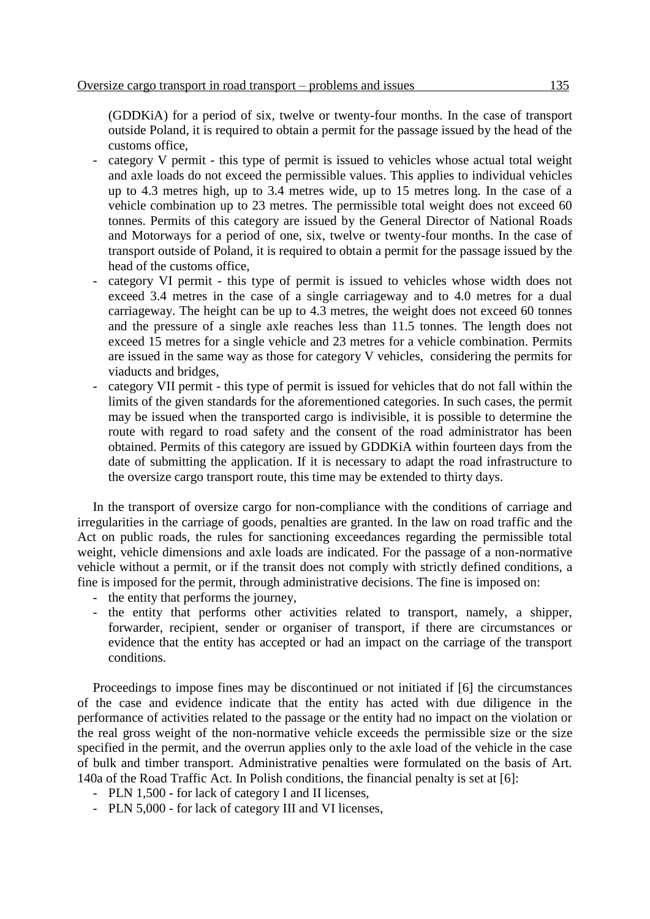(GDDKiA) for a period of six, twelve or twenty-four months. In the case of transport outside Poland, it is required to obtain a permit for the passage issued by the head of the customs office,

- category V permit this type of permit is issued to vehicles whose actual total weight and axle loads do not exceed the permissible values. This applies to individual vehicles up to 4.3 metres high, up to 3.4 metres wide, up to 15 metres long. In the case of a vehicle combination up to 23 metres. The permissible total weight does not exceed 60 tonnes. Permits of this category are issued by the General Director of National Roads and Motorways for a period of one, six, twelve or twenty-four months. In the case of transport outside of Poland, it is required to obtain a permit for the passage issued by the head of the customs office,
- category VI permit this type of permit is issued to vehicles whose width does not exceed 3.4 metres in the case of a single carriageway and to 4.0 metres for a dual carriageway. The height can be up to 4.3 metres, the weight does not exceed 60 tonnes and the pressure of a single axle reaches less than 11.5 tonnes. The length does not exceed 15 metres for a single vehicle and 23 metres for a vehicle combination. Permits are issued in the same way as those for category V vehicles, considering the permits for viaducts and bridges,
- category VII permit this type of permit is issued for vehicles that do not fall within the limits of the given standards for the aforementioned categories. In such cases, the permit may be issued when the transported cargo is indivisible, it is possible to determine the route with regard to road safety and the consent of the road administrator has been obtained. Permits of this category are issued by GDDKiA within fourteen days from the date of submitting the application. If it is necessary to adapt the road infrastructure to the oversize cargo transport route, this time may be extended to thirty days.

In the transport of oversize cargo for non-compliance with the conditions of carriage and irregularities in the carriage of goods, penalties are granted. In the law on road traffic and the Act on public roads, the rules for sanctioning exceedances regarding the permissible total weight, vehicle dimensions and axle loads are indicated. For the passage of a non-normative vehicle without a permit, or if the transit does not comply with strictly defined conditions, a fine is imposed for the permit, through administrative decisions. The fine is imposed on:

- the entity that performs the journey,
- the entity that performs other activities related to transport, namely, a shipper, forwarder, recipient, sender or organiser of transport, if there are circumstances or evidence that the entity has accepted or had an impact on the carriage of the transport conditions.

Proceedings to impose fines may be discontinued or not initiated if [6] the circumstances of the case and evidence indicate that the entity has acted with due diligence in the performance of activities related to the passage or the entity had no impact on the violation or the real gross weight of the non-normative vehicle exceeds the permissible size or the size specified in the permit, and the overrun applies only to the axle load of the vehicle in the case of bulk and timber transport. Administrative penalties were formulated on the basis of Art. 140a of the Road Traffic Act. In Polish conditions, the financial penalty is set at [6]:

- PLN 1,500 for lack of category I and II licenses,
- PLN 5,000 for lack of category III and VI licenses,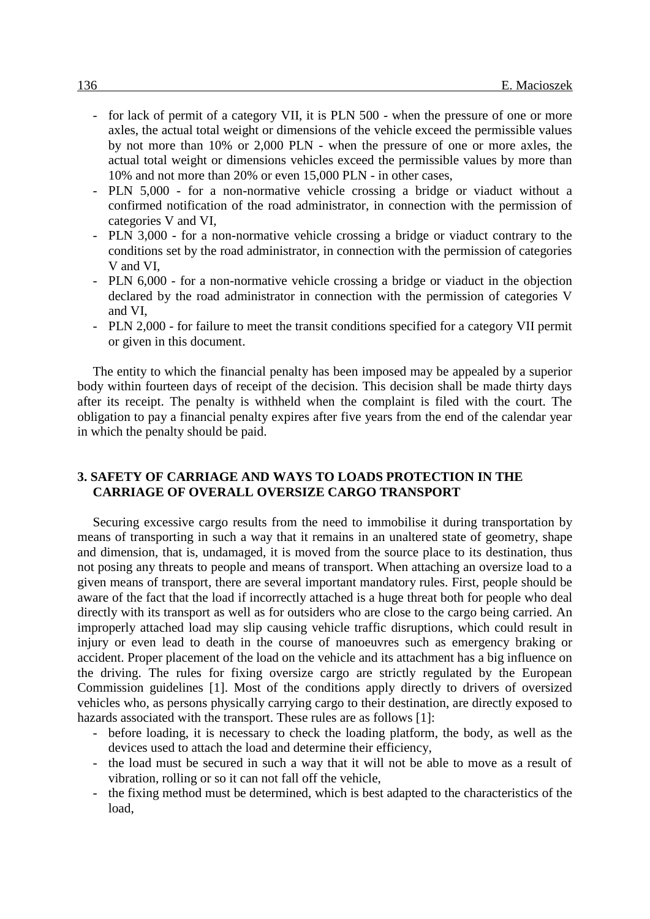- for lack of permit of a category VII, it is PLN 500 when the pressure of one or more axles, the actual total weight or dimensions of the vehicle exceed the permissible values by not more than 10% or 2,000 PLN - when the pressure of one or more axles, the actual total weight or dimensions vehicles exceed the permissible values by more than 10% and not more than 20% or even 15,000 PLN - in other cases,
- PLN 5,000 for a non-normative vehicle crossing a bridge or viaduct without a confirmed notification of the road administrator, in connection with the permission of categories V and VI,
- PLN 3,000 for a non-normative vehicle crossing a bridge or viaduct contrary to the conditions set by the road administrator, in connection with the permission of categories V and VI,
- PLN 6,000 for a non-normative vehicle crossing a bridge or viaduct in the objection declared by the road administrator in connection with the permission of categories V and VI,
- PLN 2,000 for failure to meet the transit conditions specified for a category VII permit or given in this document.

The entity to which the financial penalty has been imposed may be appealed by a superior body within fourteen days of receipt of the decision. This decision shall be made thirty days after its receipt. The penalty is withheld when the complaint is filed with the court. The obligation to pay a financial penalty expires after five years from the end of the calendar year in which the penalty should be paid.

### **3. SAFETY OF CARRIAGE AND WAYS TO LOADS PROTECTION IN THE CARRIAGE OF OVERALL OVERSIZE CARGO TRANSPORT**

Securing excessive cargo results from the need to immobilise it during transportation by means of transporting in such a way that it remains in an unaltered state of geometry, shape and dimension, that is, undamaged, it is moved from the source place to its destination, thus not posing any threats to people and means of transport. When attaching an oversize load to a given means of transport, there are several important mandatory rules. First, people should be aware of the fact that the load if incorrectly attached is a huge threat both for people who deal directly with its transport as well as for outsiders who are close to the cargo being carried. An improperly attached load may slip causing vehicle traffic disruptions, which could result in injury or even lead to death in the course of manoeuvres such as emergency braking or accident. Proper placement of the load on the vehicle and its attachment has a big influence on the driving. The rules for fixing oversize cargo are strictly regulated by the European Commission guidelines [1]. Most of the conditions apply directly to drivers of oversized vehicles who, as persons physically carrying cargo to their destination, are directly exposed to hazards associated with the transport. These rules are as follows [1]:

- before loading, it is necessary to check the loading platform, the body, as well as the devices used to attach the load and determine their efficiency,
- the load must be secured in such a way that it will not be able to move as a result of vibration, rolling or so it can not fall off the vehicle,
- the fixing method must be determined, which is best adapted to the characteristics of the load,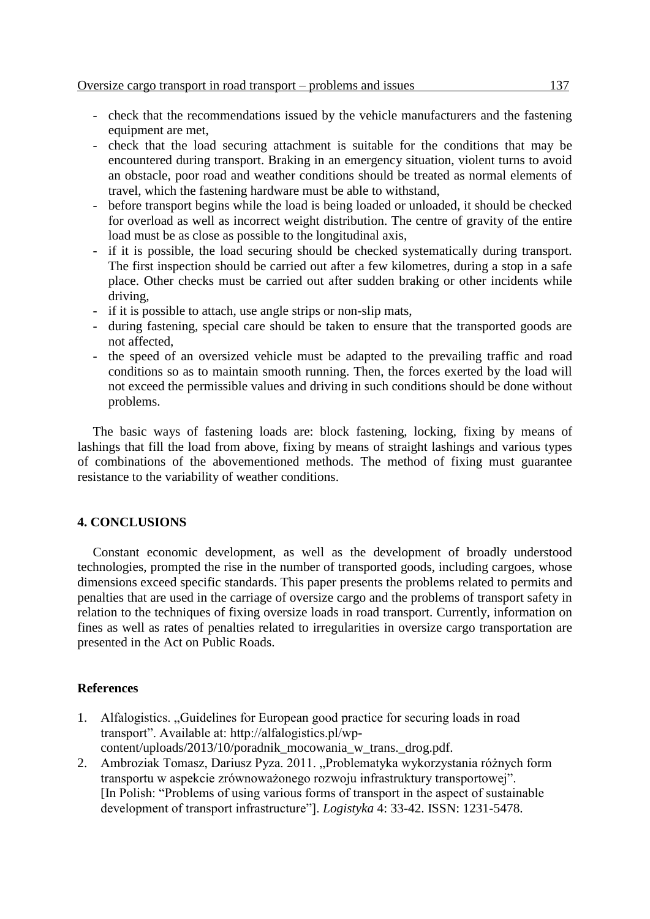- check that the recommendations issued by the vehicle manufacturers and the fastening equipment are met,
- check that the load securing attachment is suitable for the conditions that may be encountered during transport. Braking in an emergency situation, violent turns to avoid an obstacle, poor road and weather conditions should be treated as normal elements of travel, which the fastening hardware must be able to withstand,
- before transport begins while the load is being loaded or unloaded, it should be checked for overload as well as incorrect weight distribution. The centre of gravity of the entire load must be as close as possible to the longitudinal axis,
- if it is possible, the load securing should be checked systematically during transport. The first inspection should be carried out after a few kilometres, during a stop in a safe place. Other checks must be carried out after sudden braking or other incidents while driving,
- if it is possible to attach, use angle strips or non-slip mats,
- during fastening, special care should be taken to ensure that the transported goods are not affected,
- the speed of an oversized vehicle must be adapted to the prevailing traffic and road conditions so as to maintain smooth running. Then, the forces exerted by the load will not exceed the permissible values and driving in such conditions should be done without problems.

The basic ways of fastening loads are: block fastening, locking, fixing by means of lashings that fill the load from above, fixing by means of straight lashings and various types of combinations of the abovementioned methods. The method of fixing must guarantee resistance to the variability of weather conditions.

#### **4. CONCLUSIONS**

Constant economic development, as well as the development of broadly understood technologies, prompted the rise in the number of transported goods, including cargoes, whose dimensions exceed specific standards. This paper presents the problems related to permits and penalties that are used in the carriage of oversize cargo and the problems of transport safety in relation to the techniques of fixing oversize loads in road transport. Currently, information on fines as well as rates of penalties related to irregularities in oversize cargo transportation are presented in the Act on Public Roads.

#### **References**

- 1. Alfalogistics. "Guidelines for European good practice for securing loads in road transport". Available at: http://alfalogistics.pl/wpcontent/uploads/2013/10/poradnik\_mocowania\_w\_trans.\_drog.pdf.
- 2. Ambroziak Tomasz, Dariusz Pyza. 2011. "Problematyka wykorzystania różnych form transportu w aspekcie zrównoważonego rozwoju infrastruktury transportowej". [In Polish: "Problems of using various forms of transport in the aspect of sustainable development of transport infrastructure"]. *Logistyka* 4: 33-42. ISSN: 1231-5478.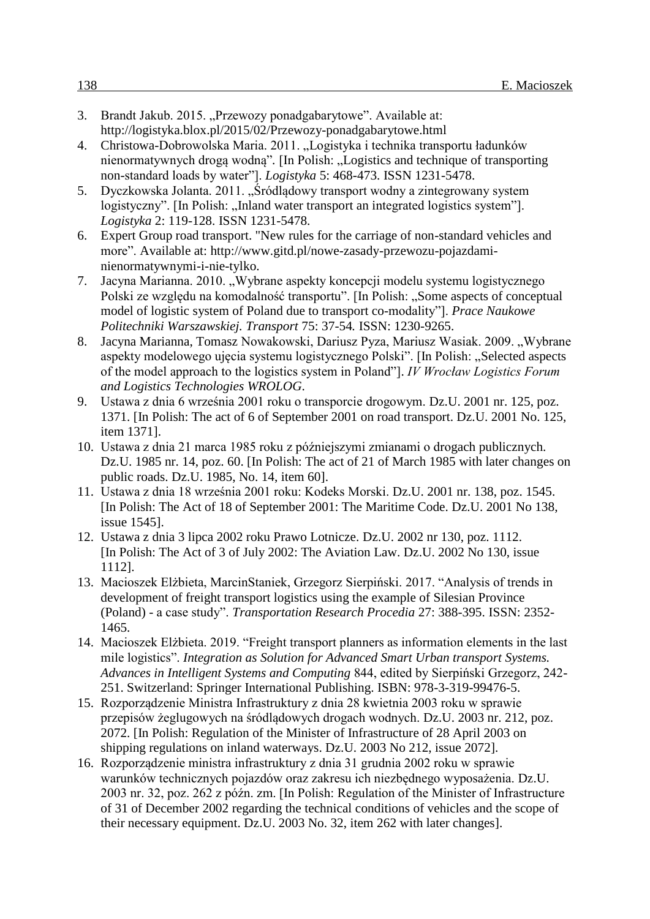- 3. Brandt Jakub. 2015. "Przewozy ponadgabarytowe". Available at: http://logistyka.blox.pl/2015/02/Przewozy-ponadgabarytowe.html
- 4. Christowa-Dobrowolska Maria. 2011. "Logistyka i technika transportu ładunków nienormatywnych drogą wodną"*.* [In Polish: "Logistics and technique of transporting non-standard loads by water"]. *Logistyka* 5: 468-473. ISSN 1231-5478.
- 5. Dyczkowska Jolanta. 2011. "Śródlądowy transport wodny a zintegrowany system logistyczny". [In Polish: "Inland water transport an integrated logistics system"]. *Logistyka* 2: 119-128. ISSN 1231-5478.
- 6. Expert Group road transport. "New rules for the carriage of non-standard vehicles and more". Available at: http://www.gitd.pl/nowe-zasady-przewozu-pojazdaminienormatywnymi-i-nie-tylko.
- 7. Jacyna Marianna. 2010. "Wybrane aspekty koncepcji modelu systemu logistycznego Polski ze względu na komodalność transportu". [In Polish: "Some aspects of conceptual model of logistic system of Poland due to transport co-modality"]. *Prace Naukowe Politechniki Warszawskiej. Transport* 75: 37-54*.* ISSN: 1230-9265.
- 8. Jacyna Marianna, Tomasz Nowakowski, Dariusz Pyza, Mariusz Wasiak. 2009. "Wybrane aspekty modelowego ujęcia systemu logistycznego Polski". [In Polish: "Selected aspects of the model approach to the logistics system in Poland"]. *IV Wrocław Logistics Forum and Logistics Technologies WROLOG*.
- 9. Ustawa z dnia 6 września 2001 roku o transporcie drogowym. Dz.U. 2001 nr. 125, poz. 1371. [In Polish: The act of 6 of September 2001 on road transport. Dz.U. 2001 No. 125, item 1371].
- 10. Ustawa z dnia 21 marca 1985 roku z późniejszymi zmianami o drogach publicznych. Dz.U. 1985 nr. 14, poz. 60. [In Polish: The act of 21 of March 1985 with later changes on public roads. Dz.U. 1985, No. 14, item 60].
- 11. Ustawa z dnia 18 września 2001 roku: Kodeks Morski. Dz.U. 2001 nr. 138, poz. 1545. [In Polish: The Act of 18 of September 2001: The Maritime Code. Dz.U. 2001 No 138, issue 1545].
- 12. Ustawa z dnia 3 lipca 2002 roku Prawo Lotnicze. Dz.U. 2002 nr 130, poz. 1112. [In Polish: The Act of 3 of July 2002: The Aviation Law. Dz.U. 2002 No 130, issue 1112].
- 13. Macioszek Elżbieta, MarcinStaniek, Grzegorz Sierpiński. 2017. "Analysis of trends in development of freight transport logistics using the example of Silesian Province (Poland) - a case study". *Transportation Research Procedia* 27: 388-395. ISSN: 2352- 1465.
- 14. Macioszek Elżbieta. 2019. "Freight transport planners as information elements in the last mile logistics". *Integration as Solution for Advanced Smart Urban transport Systems. Advances in Intelligent Systems and Computing* 844, edited by Sierpiński Grzegorz, 242- 251. Switzerland: Springer International Publishing. ISBN: 978-3-319-99476-5.
- 15. Rozporządzenie Ministra Infrastruktury z dnia 28 kwietnia 2003 roku w sprawie przepisów żeglugowych na śródlądowych drogach wodnych. Dz.U. 2003 nr. 212, poz. 2072. [In Polish: Regulation of the Minister of Infrastructure of 28 April 2003 on shipping regulations on inland waterways. Dz.U. 2003 No 212, issue 2072].
- 16. Rozporządzenie ministra infrastruktury z dnia 31 grudnia 2002 roku w sprawie warunków technicznych pojazdów oraz zakresu ich niezbędnego wyposażenia. Dz.U. 2003 nr. 32, poz. 262 z późn. zm. [In Polish: Regulation of the Minister of Infrastructure of 31 of December 2002 regarding the technical conditions of vehicles and the scope of their necessary equipment. Dz.U. 2003 No. 32, item 262 with later changes].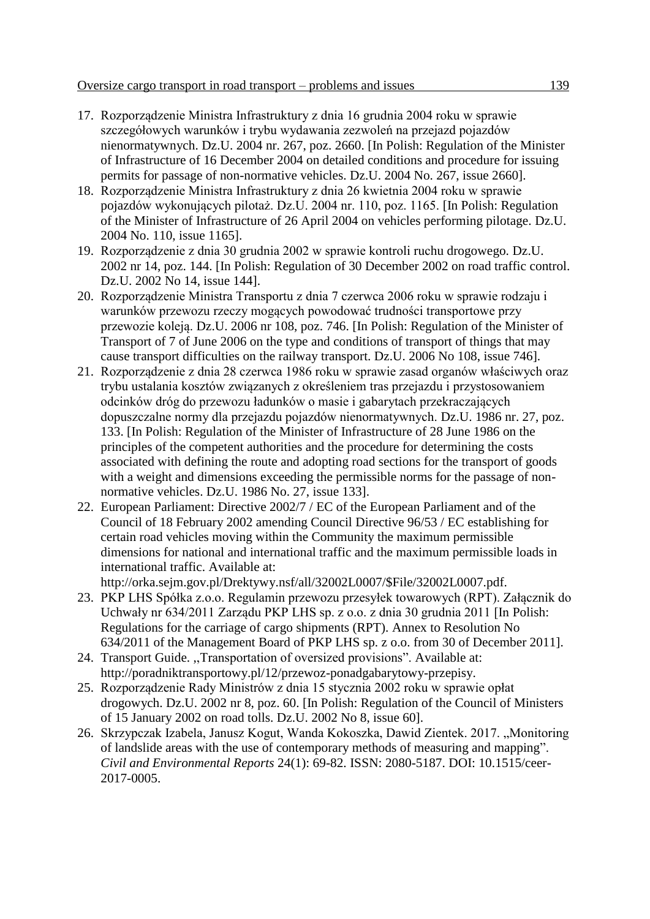- 17. Rozporządzenie Ministra Infrastruktury z dnia 16 grudnia 2004 roku w sprawie szczegółowych warunków i trybu wydawania zezwoleń na przejazd pojazdów nienormatywnych. Dz.U. 2004 nr. 267, poz. 2660. [In Polish: Regulation of the Minister of Infrastructure of 16 December 2004 on detailed conditions and procedure for issuing permits for passage of non-normative vehicles. Dz.U. 2004 No. 267, issue 2660].
- 18. Rozporządzenie Ministra Infrastruktury z dnia 26 kwietnia 2004 roku w sprawie pojazdów wykonujących pilotaż. Dz.U. 2004 nr. 110, poz. 1165. [In Polish: Regulation of the Minister of Infrastructure of 26 April 2004 on vehicles performing pilotage. Dz.U. 2004 No. 110, issue 1165].
- 19. Rozporządzenie z dnia 30 grudnia 2002 w sprawie kontroli ruchu drogowego. Dz.U. 2002 nr 14, poz. 144. [In Polish: Regulation of 30 December 2002 on road traffic control. Dz.U. 2002 No 14, issue 144].
- 20. Rozporządzenie Ministra Transportu z dnia 7 czerwca 2006 roku w sprawie rodzaju i warunków przewozu rzeczy mogących powodować trudności transportowe przy przewozie koleją. Dz.U. 2006 nr 108, poz. 746. [In Polish: Regulation of the Minister of Transport of 7 of June 2006 on the type and conditions of transport of things that may cause transport difficulties on the railway transport. Dz.U. 2006 No 108, issue 746].
- 21. Rozporządzenie z dnia 28 czerwca 1986 roku w sprawie zasad organów właściwych oraz trybu ustalania kosztów związanych z określeniem tras przejazdu i przystosowaniem odcinków dróg do przewozu ładunków o masie i gabarytach przekraczających dopuszczalne normy dla przejazdu pojazdów nienormatywnych. Dz.U. 1986 nr. 27, poz. 133. [In Polish: Regulation of the Minister of Infrastructure of 28 June 1986 on the principles of the competent authorities and the procedure for determining the costs associated with defining the route and adopting road sections for the transport of goods with a weight and dimensions exceeding the permissible norms for the passage of nonnormative vehicles. Dz.U. 1986 No. 27, issue 133].
- 22. European Parliament: Directive 2002/7 / EC of the European Parliament and of the Council of 18 February 2002 amending Council Directive 96/53 / EC establishing for certain road vehicles moving within the Community the maximum permissible dimensions for national and international traffic and the maximum permissible loads in international traffic. Available at:

http://orka.sejm.gov.pl/Drektywy.nsf/all/32002L0007/\$File/32002L0007.pdf.

- 23. PKP LHS Spółka z.o.o. Regulamin przewozu przesyłek towarowych (RPT). Załącznik do Uchwały nr 634/2011 Zarządu PKP LHS sp. z o.o. z dnia 30 grudnia 2011 [In Polish: Regulations for the carriage of cargo shipments (RPT). Annex to Resolution No 634/2011 of the Management Board of PKP LHS sp. z o.o. from 30 of December 2011].
- 24. Transport Guide. "Transportation of oversized provisions". Available at: http://poradniktransportowy.pl/12/przewoz-ponadgabarytowy-przepisy.
- 25. Rozporządzenie Rady Ministrów z dnia 15 stycznia 2002 roku w sprawie opłat drogowych. Dz.U. 2002 nr 8, poz. 60. [In Polish: Regulation of the Council of Ministers of 15 January 2002 on road tolls. Dz.U. 2002 No 8, issue 60].
- 26. Skrzypczak Izabela, Janusz Kogut, Wanda Kokoszka, Dawid Zientek. 2017. "Monitoring of landslide areas with the use of contemporary methods of measuring and mapping". *Civil and Environmental Reports* 24(1): 69-82. ISSN: 2080-5187. DOI: 10.1515/ceer-2017-0005.